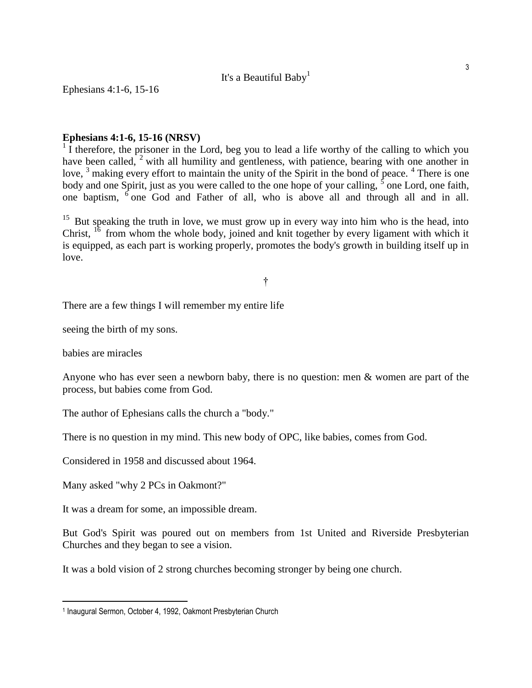## It's a Beautiful Baby<sup>1</sup>

Ephesians 4:1-6, 15-16

## **Ephesians 4:1-6, 15-16 (NRSV)**

 $1$ <sup>1</sup> I therefore, the prisoner in the Lord, beg you to lead a life worthy of the calling to which you have been called,  $2$  with all humility and gentleness, with patience, bearing with one another in love, <sup>3</sup> making every effort to maintain the unity of the Spirit in the bond of peace. <sup>4</sup> There is one body and one Spirit, just as you were called to the one hope of your calling,  $\frac{1}{5}$  one Lord, one faith, one baptism, <sup>6</sup> one God and Father of all, who is above all and through all and in all.

 $15$  But speaking the truth in love, we must grow up in every way into him who is the head, into Christ,  $^{16}$  from whom the whole body, joined and knit together by every ligament with which it is equipped, as each part is working properly, promotes the body's growth in building itself up in love.

## †

There are a few things I will remember my entire life

seeing the birth of my sons.

babies are miracles

i<br>L

Anyone who has ever seen a newborn baby, there is no question: men & women are part of the process, but babies come from God.

The author of Ephesians calls the church a "body."

There is no question in my mind. This new body of OPC, like babies, comes from God.

Considered in 1958 and discussed about 1964.

Many asked "why 2 PCs in Oakmont?"

It was a dream for some, an impossible dream.

But God's Spirit was poured out on members from 1st United and Riverside Presbyterian Churches and they began to see a vision.

It was a bold vision of 2 strong churches becoming stronger by being one church.

<sup>1</sup> Inaugural Sermon, October 4, 1992, Oakmont Presbyterian Church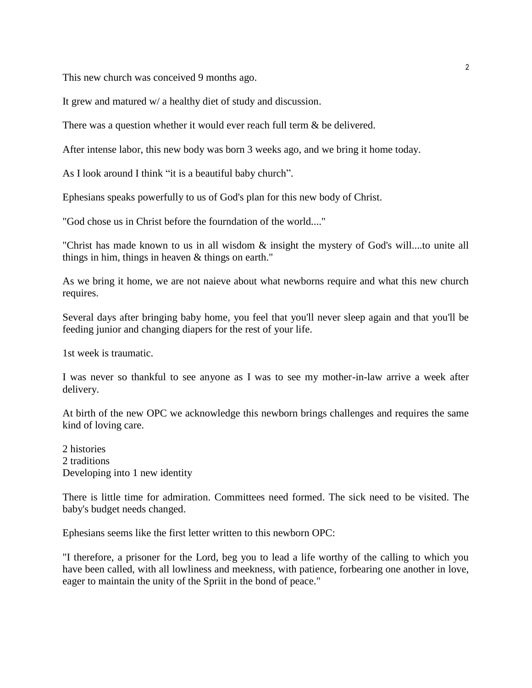This new church was conceived 9 months ago.

It grew and matured w/ a healthy diet of study and discussion.

There was a question whether it would ever reach full term  $\&$  be delivered.

After intense labor, this new body was born 3 weeks ago, and we bring it home today.

As I look around I think "it is a beautiful baby church".

Ephesians speaks powerfully to us of God's plan for this new body of Christ.

"God chose us in Christ before the fourndation of the world...."

"Christ has made known to us in all wisdom & insight the mystery of God's will....to unite all things in him, things in heaven & things on earth."

As we bring it home, we are not naieve about what newborns require and what this new church requires.

Several days after bringing baby home, you feel that you'll never sleep again and that you'll be feeding junior and changing diapers for the rest of your life.

1st week is traumatic.

I was never so thankful to see anyone as I was to see my mother-in-law arrive a week after delivery.

At birth of the new OPC we acknowledge this newborn brings challenges and requires the same kind of loving care.

2 histories 2 traditions Developing into 1 new identity

There is little time for admiration. Committees need formed. The sick need to be visited. The baby's budget needs changed.

Ephesians seems like the first letter written to this newborn OPC:

"I therefore, a prisoner for the Lord, beg you to lead a life worthy of the calling to which you have been called, with all lowliness and meekness, with patience, forbearing one another in love, eager to maintain the unity of the Spriit in the bond of peace."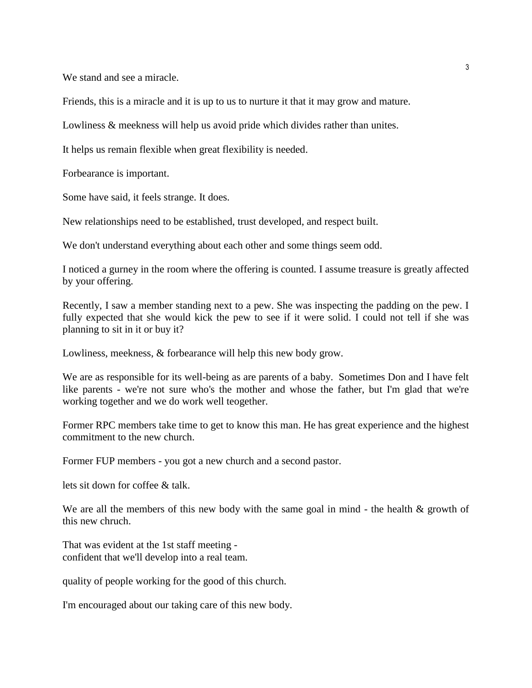We stand and see a miracle.

Friends, this is a miracle and it is up to us to nurture it that it may grow and mature.

Lowliness & meekness will help us avoid pride which divides rather than unites.

It helps us remain flexible when great flexibility is needed.

Forbearance is important.

Some have said, it feels strange. It does.

New relationships need to be established, trust developed, and respect built.

We don't understand everything about each other and some things seem odd.

I noticed a gurney in the room where the offering is counted. I assume treasure is greatly affected by your offering.

Recently, I saw a member standing next to a pew. She was inspecting the padding on the pew. I fully expected that she would kick the pew to see if it were solid. I could not tell if she was planning to sit in it or buy it?

Lowliness, meekness, & forbearance will help this new body grow.

We are as responsible for its well-being as are parents of a baby. Sometimes Don and I have felt like parents - we're not sure who's the mother and whose the father, but I'm glad that we're working together and we do work well teogether.

Former RPC members take time to get to know this man. He has great experience and the highest commitment to the new church.

Former FUP members - you got a new church and a second pastor.

lets sit down for coffee & talk.

We are all the members of this new body with the same goal in mind - the health  $\&$  growth of this new chruch.

That was evident at the 1st staff meeting confident that we'll develop into a real team.

quality of people working for the good of this church.

I'm encouraged about our taking care of this new body.